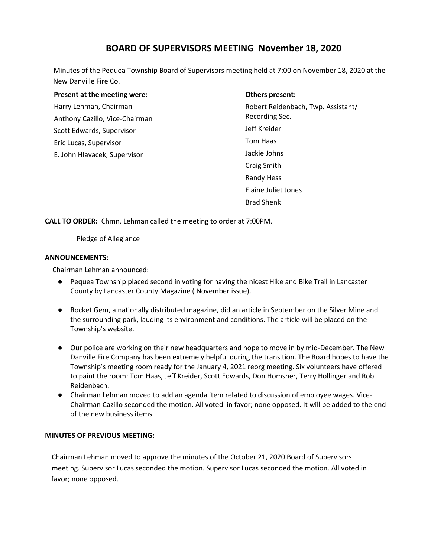# **BOARD OF SUPERVISORS MEETING November 18, 2020**

Minutes of the Pequea Township Board of Supervisors meeting held at 7:00 on November 18, 2020 at the New Danville Fire Co.

**Present at the meeting were:** Harry Lehman, Chairman Anthony Cazillo, Vice-Chairman Scott Edwards, Supervisor Eric Lucas, Supervisor E. John Hlavacek, Supervisor

#### **Others present:**

Robert Reidenbach, Twp. Assistant/ Recording Sec. Jeff Kreider Tom Haas Jackie Johns Craig Smith Randy Hess Elaine Juliet Jones Brad Shenk

**CALL TO ORDER:** Chmn. Lehman called the meeting to order at 7:00PM.

Pledge of Allegiance

#### **ANNOUNCEMENTS:**

Chairman Lehman announced:

- Pequea Township placed second in voting for having the nicest Hike and Bike Trail in Lancaster County by Lancaster County Magazine ( November issue).
- Rocket Gem, a nationally distributed magazine, did an article in September on the Silver Mine and the surrounding park, lauding its environment and conditions. The article will be placed on the Township's website.
- Our police are working on their new headquarters and hope to move in by mid-December. The New Danville Fire Company has been extremely helpful during the transition. The Board hopes to have the Township's meeting room ready for the January 4, 2021 reorg meeting. Six volunteers have offered to paint the room: Tom Haas, Jeff Kreider, Scott Edwards, Don Homsher, Terry Hollinger and Rob Reidenbach.
- Chairman Lehman moved to add an agenda item related to discussion of employee wages. Vice-Chairman Cazillo seconded the motion. All voted in favor; none opposed. It will be added to the end of the new business items.

# **MINUTES OF PREVIOUS MEETING:**

 Chairman Lehman moved to approve the minutes of the October 21, 2020 Board of Supervisors meeting. Supervisor Lucas seconded the motion. Supervisor Lucas seconded the motion. All voted in favor; none opposed.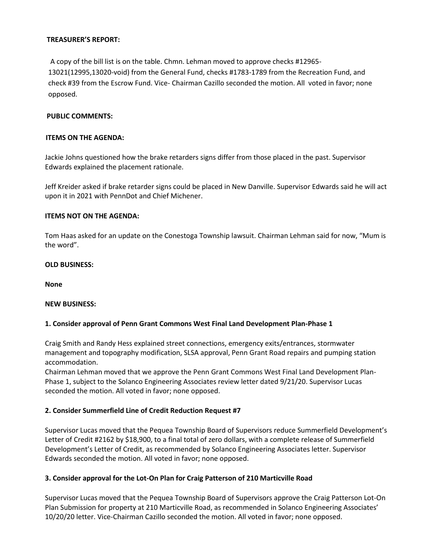## **TREASURER'S REPORT:**

 A copy of the bill list is on the table. Chmn. Lehman moved to approve checks #12965- 13021(12995,13020-void) from the General Fund, checks #1783-1789 from the Recreation Fund, and check #39 from the Escrow Fund. Vice- Chairman Cazillo seconded the motion. All voted in favor; none opposed.

## **PUBLIC COMMENTS:**

#### **ITEMS ON THE AGENDA:**

Jackie Johns questioned how the brake retarders signs differ from those placed in the past. Supervisor Edwards explained the placement rationale.

Jeff Kreider asked if brake retarder signs could be placed in New Danville. Supervisor Edwards said he will act upon it in 2021 with PennDot and Chief Michener.

#### **ITEMS NOT ON THE AGENDA:**

Tom Haas asked for an update on the Conestoga Township lawsuit. Chairman Lehman said for now, "Mum is the word".

#### **OLD BUSINESS:**

**None**

#### **NEW BUSINESS:**

#### **1. Consider approval of Penn Grant Commons West Final Land Development Plan-Phase 1**

Craig Smith and Randy Hess explained street connections, emergency exits/entrances, stormwater management and topography modification, SLSA approval, Penn Grant Road repairs and pumping station accommodation.

Chairman Lehman moved that we approve the Penn Grant Commons West Final Land Development Plan-Phase 1, subject to the Solanco Engineering Associates review letter dated 9/21/20. Supervisor Lucas seconded the motion. All voted in favor; none opposed.

# **2. Consider Summerfield Line of Credit Reduction Request #7**

Supervisor Lucas moved that the Pequea Township Board of Supervisors reduce Summerfield Development's Letter of Credit #2162 by \$18,900, to a final total of zero dollars, with a complete release of Summerfield Development's Letter of Credit, as recommended by Solanco Engineering Associates letter. Supervisor Edwards seconded the motion. All voted in favor; none opposed.

# **3. Consider approval for the Lot-On Plan for Craig Patterson of 210 Marticville Road**

Supervisor Lucas moved that the Pequea Township Board of Supervisors approve the Craig Patterson Lot-On Plan Submission for property at 210 Marticville Road, as recommended in Solanco Engineering Associates' 10/20/20 letter. Vice-Chairman Cazillo seconded the motion. All voted in favor; none opposed.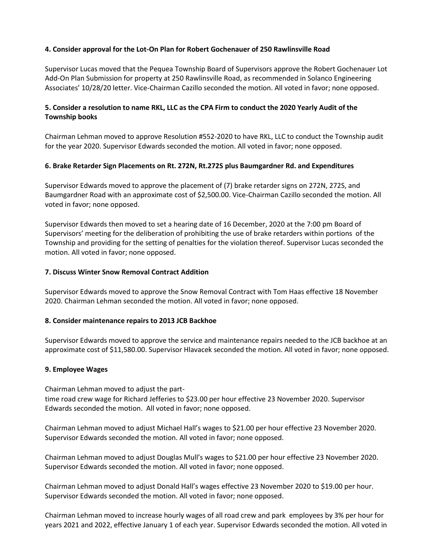# **4. Consider approval for the Lot-On Plan for Robert Gochenauer of 250 Rawlinsville Road**

Supervisor Lucas moved that the Pequea Township Board of Supervisors approve the Robert Gochenauer Lot Add-On Plan Submission for property at 250 Rawlinsville Road, as recommended in Solanco Engineering Associates' 10/28/20 letter. Vice-Chairman Cazillo seconded the motion. All voted in favor; none opposed.

# **5. Consider a resolution to name RKL, LLC as the CPA Firm to conduct the 2020 Yearly Audit of the Township books**

Chairman Lehman moved to approve Resolution #552-2020 to have RKL, LLC to conduct the Township audit for the year 2020. Supervisor Edwards seconded the motion. All voted in favor; none opposed.

# **6. Brake Retarder Sign Placements on Rt. 272N, Rt.272S plus Baumgardner Rd. and Expenditures**

Supervisor Edwards moved to approve the placement of (7) brake retarder signs on 272N, 272S, and Baumgardner Road with an approximate cost of \$2,500.00. Vice-Chairman Cazillo seconded the motion. All voted in favor; none opposed.

Supervisor Edwards then moved to set a hearing date of 16 December, 2020 at the 7:00 pm Board of Supervisors' meeting for the deliberation of prohibiting the use of brake retarders within portions of the Township and providing for the setting of penalties for the violation thereof. Supervisor Lucas seconded the motion. All voted in favor; none opposed.

# **7. Discuss Winter Snow Removal Contract Addition**

Supervisor Edwards moved to approve the Snow Removal Contract with Tom Haas effective 18 November 2020. Chairman Lehman seconded the motion. All voted in favor; none opposed.

# **8. Consider maintenance repairs to 2013 JCB Backhoe**

Supervisor Edwards moved to approve the service and maintenance repairs needed to the JCB backhoe at an approximate cost of \$11,580.00. Supervisor Hlavacek seconded the motion. All voted in favor; none opposed.

# **9. Employee Wages**

Chairman Lehman moved to adjust the parttime road crew wage for Richard Jefferies to \$23.00 per hour effective 23 November 2020. Supervisor Edwards seconded the motion. All voted in favor; none opposed.

Chairman Lehman moved to adjust Michael Hall's wages to \$21.00 per hour effective 23 November 2020. Supervisor Edwards seconded the motion. All voted in favor; none opposed.

Chairman Lehman moved to adjust Douglas Mull's wages to \$21.00 per hour effective 23 November 2020. Supervisor Edwards seconded the motion. All voted in favor; none opposed.

Chairman Lehman moved to adjust Donald Hall's wages effective 23 November 2020 to \$19.00 per hour. Supervisor Edwards seconded the motion. All voted in favor; none opposed.

Chairman Lehman moved to increase hourly wages of all road crew and park employees by 3% per hour for years 2021 and 2022, effective January 1 of each year. Supervisor Edwards seconded the motion. All voted in